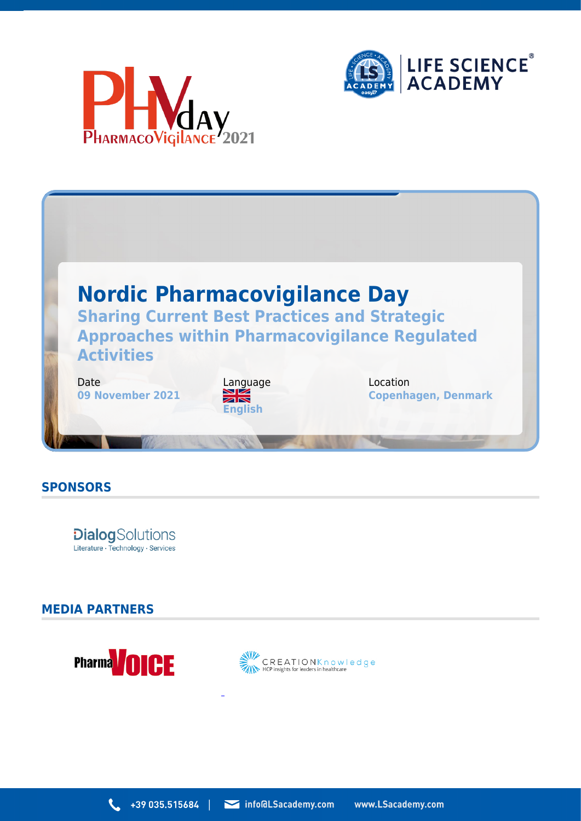





## **SPONSORS**

**Dialog**Solutions Literature · Technology · Services

## **MEDIA PARTNERS**



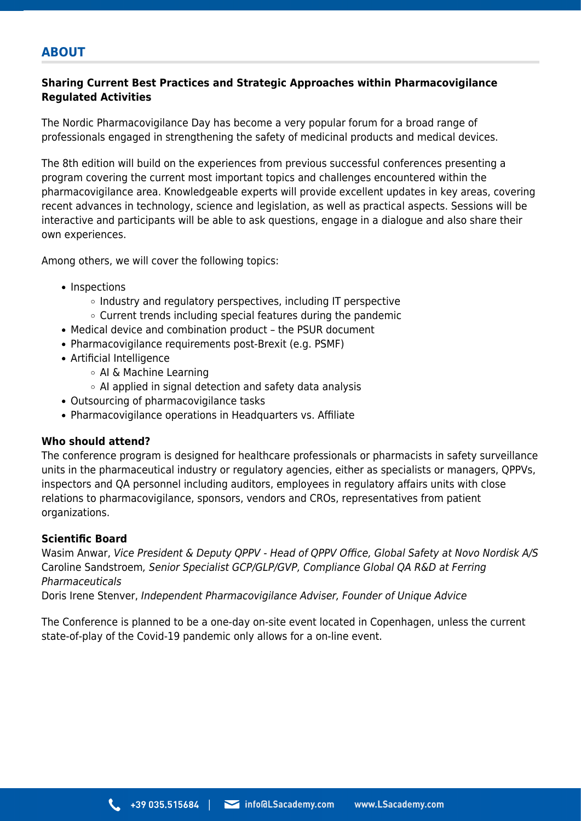# **ABOUT**

### **Sharing Current Best Practices and Strategic Approaches within Pharmacovigilance Regulated Activities**

The Nordic Pharmacovigilance Day has become a very popular forum for a broad range of professionals engaged in strengthening the safety of medicinal products and medical devices.

The 8th edition will build on the experiences from previous successful conferences presenting a program covering the current most important topics and challenges encountered within the pharmacovigilance area. Knowledgeable experts will provide excellent updates in key areas, covering recent advances in technology, science and legislation, as well as practical aspects. Sessions will be interactive and participants will be able to ask questions, engage in a dialogue and also share their own experiences.

Among others, we will cover the following topics:

- Inspections
	- $\circ$  Industry and regulatory perspectives, including IT perspective
	- Current trends including special features during the pandemic
- Medical device and combination product the PSUR document
- Pharmacovigilance requirements post-Brexit (e.g. PSMF)
- Artificial Intelligence
	- AI & Machine Learning
	- $\circ$  AI applied in signal detection and safety data analysis
- Outsourcing of pharmacovigilance tasks
- Pharmacovigilance operations in Headquarters vs. Affiliate

#### **Who should attend?**

The conference program is designed for healthcare professionals or pharmacists in safety surveillance units in the pharmaceutical industry or regulatory agencies, either as specialists or managers, QPPVs, inspectors and QA personnel including auditors, employees in regulatory affairs units with close relations to pharmacovigilance, sponsors, vendors and CROs, representatives from patient organizations.

#### **Scientific Board**

Wasim Anwar, Vice President & Deputy QPPV - Head of QPPV Office, Global Safety at Novo Nordisk A/S Caroline Sandstroem, Senior Specialist GCP/GLP/GVP, Compliance Global QA R&D at Ferring Pharmaceuticals

Doris Irene Stenver, Independent Pharmacovigilance Adviser, Founder of Unique Advice

The Conference is planned to be a one-day on-site event located in Copenhagen, unless the current state-of-play of the Covid-19 pandemic only allows for a on-line event.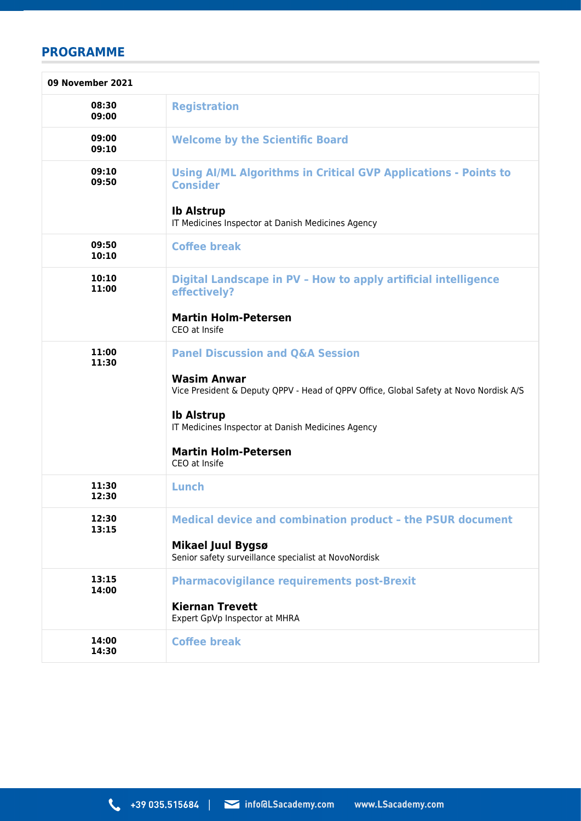# **PROGRAMME**

| 09 November 2021 |                                                                                                                |
|------------------|----------------------------------------------------------------------------------------------------------------|
| 08:30<br>09:00   | <b>Registration</b>                                                                                            |
| 09:00<br>09:10   | <b>Welcome by the Scientific Board</b>                                                                         |
| 09:10<br>09:50   | <b>Using AI/ML Algorithms in Critical GVP Applications - Points to</b><br><b>Consider</b><br><b>Ib Alstrup</b> |
|                  | IT Medicines Inspector at Danish Medicines Agency                                                              |
| 09:50<br>10:10   | <b>Coffee break</b>                                                                                            |
| 10:10<br>11:00   | Digital Landscape in PV - How to apply artificial intelligence<br>effectively?                                 |
|                  | <b>Martin Holm-Petersen</b><br>CEO at Insife                                                                   |
| 11:00<br>11:30   | <b>Panel Discussion and Q&amp;A Session</b>                                                                    |
|                  | <b>Wasim Anwar</b><br>Vice President & Deputy QPPV - Head of QPPV Office, Global Safety at Novo Nordisk A/S    |
|                  | <b>Ib Alstrup</b><br>IT Medicines Inspector at Danish Medicines Agency                                         |
|                  | <b>Martin Holm-Petersen</b><br>CEO at Insife                                                                   |
| 11:30<br>12:30   | Lunch                                                                                                          |
| 12:30<br>13:15   | <b>Medical device and combination product - the PSUR document</b>                                              |
|                  | <b>Mikael Juul Bygsø</b><br>Senior safety surveillance specialist at NovoNordisk                               |
| 13:15<br>14:00   | <b>Pharmacovigilance requirements post-Brexit</b>                                                              |
|                  | <b>Kiernan Trevett</b><br>Expert GpVp Inspector at MHRA                                                        |
| 14:00<br>14:30   | <b>Coffee break</b>                                                                                            |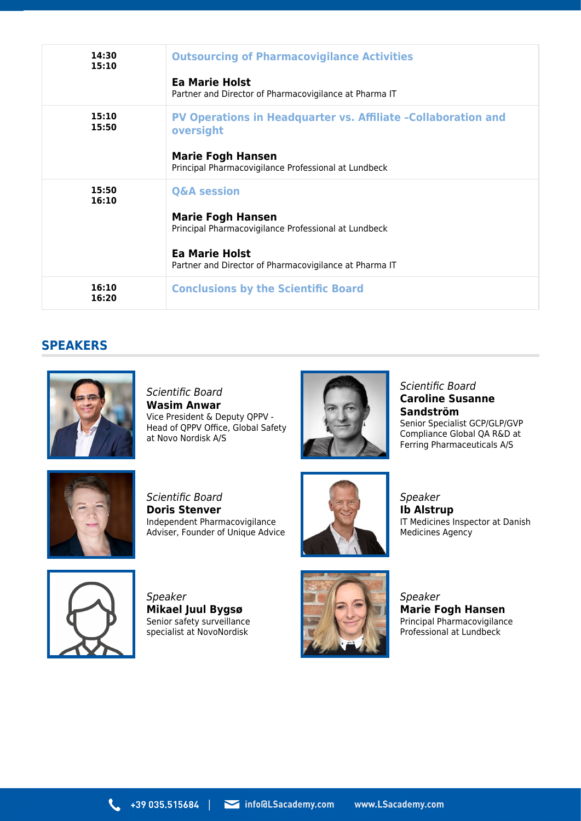| 14:30<br>15:10 | <b>Outsourcing of Pharmacovigilance Activities</b><br>Ea Marie Holst<br>Partner and Director of Pharmacovigilance at Pharma IT                                        |
|----------------|-----------------------------------------------------------------------------------------------------------------------------------------------------------------------|
| 15:10<br>15:50 | <b>PV Operations in Headquarter vs. Affiliate -Collaboration and</b><br>oversight<br><b>Marie Fogh Hansen</b><br>Principal Pharmacovigilance Professional at Lundbeck |
| 15:50<br>16:10 | <b>Q&amp;A session</b><br><b>Marie Fogh Hansen</b><br>Principal Pharmacovigilance Professional at Lundbeck                                                            |
|                | Ea Marie Holst<br>Partner and Director of Pharmacovigilance at Pharma IT                                                                                              |
| 16:10<br>16:20 | <b>Conclusions by the Scientific Board</b>                                                                                                                            |

## **SPEAKERS**



Scientific Board **Wasim Anwar** Vice President & Deputy QPPV - Head of QPPV Office, Global Safety at Novo Nordisk A/S



Scientific Board **Caroline Susanne Sandström** Senior Specialist GCP/GLP/GVP Compliance Global QA R&D at Ferring Pharmaceuticals A/S



Scientific Board **Doris Stenver** Independent Pharmacovigilance Adviser, Founder of Unique Advice



Speaker **Ib Alstrup** IT Medicines Inspector at Danish Medicines Agency



Speaker **Mikael Juul Bygsø** Senior safety surveillance specialist at NovoNordisk



Speaker **Marie Fogh Hansen** Principal Pharmacovigilance Professional at Lundbeck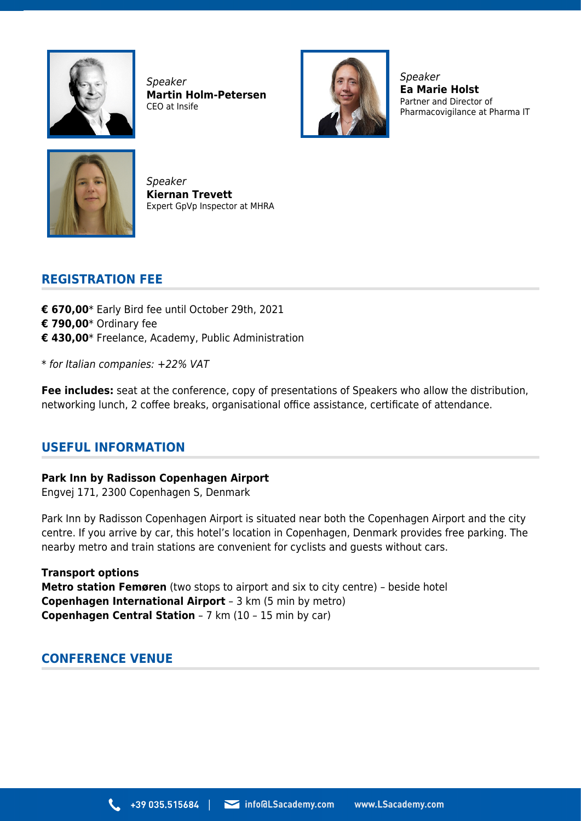

Speaker **Martin Holm-Petersen** CEO at Insife



Speaker **Ea Marie Holst** Partner and Director of Pharmacovigilance at Pharma IT



Speaker **Kiernan Trevett** Expert GpVp Inspector at MHRA

# **REGISTRATION FEE**

- **€ 670,00**\* Early Bird fee until October 29th, 2021 **€ 790,00**\* Ordinary fee **€ 430,00**\* Freelance, Academy, Public Administration
- \* for Italian companies: +22% VAT

**Fee includes:** seat at the conference, copy of presentations of Speakers who allow the distribution, networking lunch, 2 coffee breaks, organisational office assistance, certificate of attendance.

## **USEFUL INFORMATION**

**Park Inn by Radisson Copenhagen Airport** Engvej 171, 2300 Copenhagen S, Denmark

Park Inn by Radisson Copenhagen Airport is situated near both the Copenhagen Airport and the city centre. If you arrive by car, this hotel's location in Copenhagen, Denmark provides free parking. The nearby metro and train stations are convenient for cyclists and guests without cars.

**Transport options Metro station Femøren** (two stops to airport and six to city centre) – beside hotel **Copenhagen International Airport** – 3 km (5 min by metro) **Copenhagen Central Station** – 7 km (10 – 15 min by car)

## **CONFERENCE VENUE**